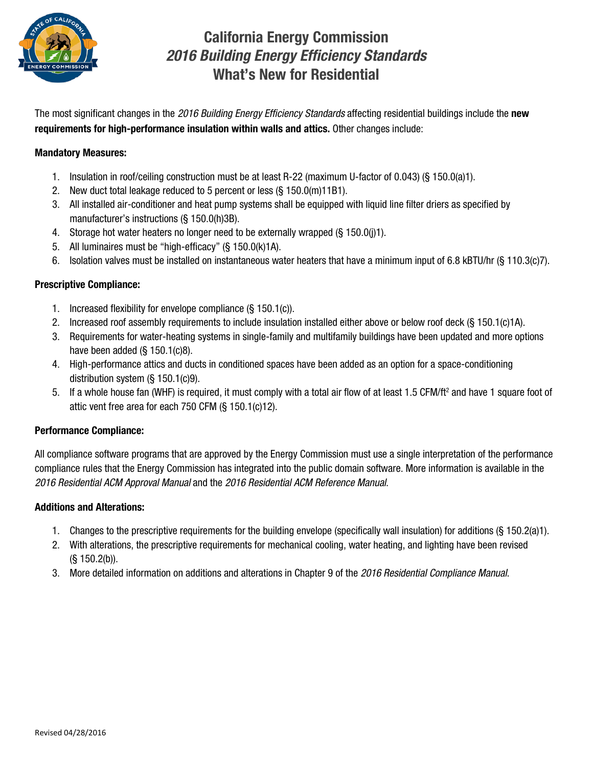

# California Energy Commission *2016 Building Energy Efficiency Standards* What's New for Residential

The most significant changes in the *2016 Building Energy Efficiency Standards* affecting residential buildings include the new requirements for high-performance insulation within walls and attics. Other changes include:

## Mandatory Measures:

- 1. Insulation in roof/ceiling construction must be at least R-22 (maximum U-factor of 0.043) (§ 150.0(a)1).
- 2. New duct total leakage reduced to 5 percent or less (§ 150.0(m)11B1).
- 3. All installed air-conditioner and heat pump systems shall be equipped with liquid line filter driers as specified by manufacturer's instructions (§ 150.0(h)3B).
- 4. Storage hot water heaters no longer need to be externally wrapped (§ 150.0(j)1).
- 5. All luminaires must be "high-efficacy" (§ 150.0(k)1A).
- 6. Isolation valves must be installed on instantaneous water heaters that have a minimum input of 6.8 kBTU/hr (§ 110.3(c)7).

### Prescriptive Compliance:

- 1. Increased flexibility for envelope compliance (§ 150.1(c)).
- 2. Increased roof assembly requirements to include insulation installed either above or below roof deck (§ 150.1(c)1A).
- 3. Requirements for water-heating systems in single-family and multifamily buildings have been updated and more options have been added (§ 150.1(c)8).
- 4. High-performance attics and ducts in conditioned spaces have been added as an option for a space-conditioning distribution system (§ 150.1(c)9).
- 5. If a whole house fan (WHF) is required, it must comply with a total air flow of at least 1.5 CFM/ft<sup>2</sup> and have 1 square foot of attic vent free area for each 750 CFM (§ 150.1(c)12).

# Performance Compliance:

All compliance software programs that are approved by the Energy Commission must use a single interpretation of the performance compliance rules that the Energy Commission has integrated into the public domain software. More information is available in the *2016 Residential ACM Approval Manual* and the *2016 Residential ACM Reference Manual*.

# Additions and Alterations:

- 1. Changes to the prescriptive requirements for the building envelope (specifically wall insulation) for additions (§ 150.2(a)1).
- 2. With alterations, the prescriptive requirements for mechanical cooling, water heating, and lighting have been revised (§ 150.2(b)).
- 3. More detailed information on additions and alterations in Chapter 9 of the *2016 Residential Compliance Manual*.